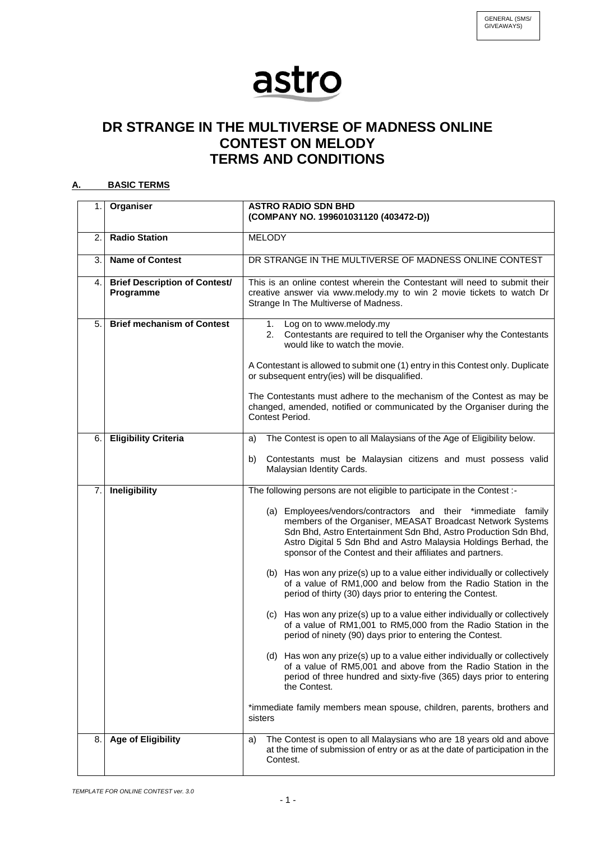## astro

## **DR STRANGE IN THE MULTIVERSE OF MADNESS ONLINE CONTEST ON MELODY TERMS AND CONDITIONS**

## **A. BASIC TERMS**

| 1. | Organiser                                         | <b>ASTRO RADIO SDN BHD</b><br>(COMPANY NO. 199601031120 (403472-D))                                                                                                                                                                                                                                                            |
|----|---------------------------------------------------|--------------------------------------------------------------------------------------------------------------------------------------------------------------------------------------------------------------------------------------------------------------------------------------------------------------------------------|
| 2. | <b>Radio Station</b>                              | <b>MELODY</b>                                                                                                                                                                                                                                                                                                                  |
| 3. | <b>Name of Contest</b>                            | DR STRANGE IN THE MULTIVERSE OF MADNESS ONLINE CONTEST                                                                                                                                                                                                                                                                         |
| 4. | <b>Brief Description of Contest/</b><br>Programme | This is an online contest wherein the Contestant will need to submit their<br>creative answer via www.melody.my to win 2 movie tickets to watch Dr<br>Strange In The Multiverse of Madness.                                                                                                                                    |
| 5. | <b>Brief mechanism of Contest</b>                 | 1. Log on to www.melody.my<br>Contestants are required to tell the Organiser why the Contestants<br>2.<br>would like to watch the movie.                                                                                                                                                                                       |
|    |                                                   | A Contestant is allowed to submit one (1) entry in this Contest only. Duplicate<br>or subsequent entry(ies) will be disqualified.                                                                                                                                                                                              |
|    |                                                   | The Contestants must adhere to the mechanism of the Contest as may be<br>changed, amended, notified or communicated by the Organiser during the<br>Contest Period.                                                                                                                                                             |
| 6. | <b>Eligibility Criteria</b>                       | The Contest is open to all Malaysians of the Age of Eligibility below.<br>a)                                                                                                                                                                                                                                                   |
|    |                                                   | Contestants must be Malaysian citizens and must possess valid<br>b)<br>Malaysian Identity Cards.                                                                                                                                                                                                                               |
| 7. | Ineligibility                                     | The following persons are not eligible to participate in the Contest :-                                                                                                                                                                                                                                                        |
|    |                                                   | (a) Employees/vendors/contractors and their *immediate family<br>members of the Organiser, MEASAT Broadcast Network Systems<br>Sdn Bhd, Astro Entertainment Sdn Bhd, Astro Production Sdn Bhd,<br>Astro Digital 5 Sdn Bhd and Astro Malaysia Holdings Berhad, the<br>sponsor of the Contest and their affiliates and partners. |
|    |                                                   | (b) Has won any prize(s) up to a value either individually or collectively<br>of a value of RM1,000 and below from the Radio Station in the<br>period of thirty (30) days prior to entering the Contest.                                                                                                                       |
|    |                                                   | (c) Has won any prize(s) up to a value either individually or collectively<br>of a value of RM1,001 to RM5,000 from the Radio Station in the<br>period of ninety (90) days prior to entering the Contest.                                                                                                                      |
|    |                                                   | (d) Has won any prize(s) up to a value either individually or collectively<br>of a value of RM5,001 and above from the Radio Station in the<br>period of three hundred and sixty-five (365) days prior to entering<br>the Contest.                                                                                             |
|    |                                                   | *immediate family members mean spouse, children, parents, brothers and<br>sisters                                                                                                                                                                                                                                              |
| 8. | <b>Age of Eligibility</b>                         | The Contest is open to all Malaysians who are 18 years old and above<br>a)<br>at the time of submission of entry or as at the date of participation in the<br>Contest.                                                                                                                                                         |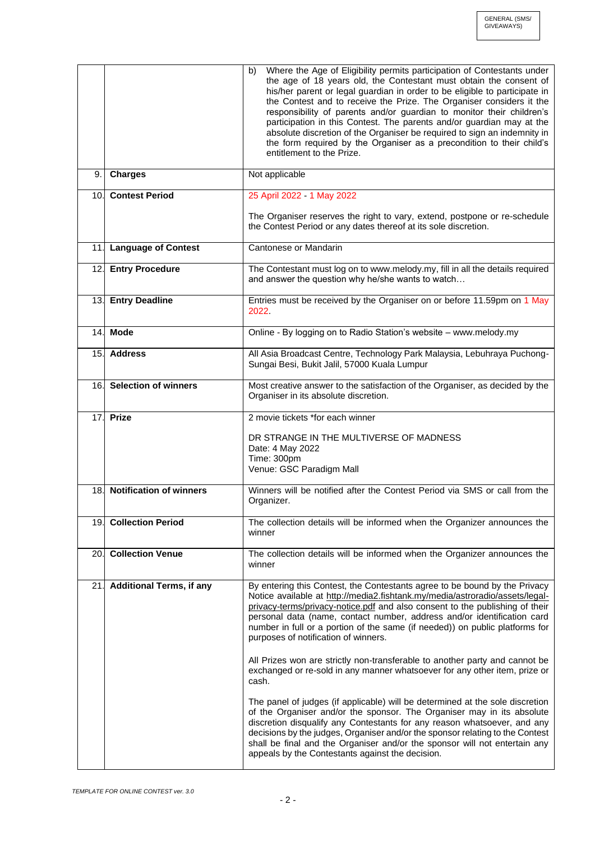|     |                                 | Where the Age of Eligibility permits participation of Contestants under<br>b)<br>the age of 18 years old, the Contestant must obtain the consent of<br>his/her parent or legal guardian in order to be eligible to participate in<br>the Contest and to receive the Prize. The Organiser considers it the<br>responsibility of parents and/or guardian to monitor their children's<br>participation in this Contest. The parents and/or guardian may at the<br>absolute discretion of the Organiser be required to sign an indemnity in<br>the form required by the Organiser as a precondition to their child's<br>entitlement to the Prize.                                                                                                                                                                                                                                                                                                                                                                                                                                 |
|-----|---------------------------------|-------------------------------------------------------------------------------------------------------------------------------------------------------------------------------------------------------------------------------------------------------------------------------------------------------------------------------------------------------------------------------------------------------------------------------------------------------------------------------------------------------------------------------------------------------------------------------------------------------------------------------------------------------------------------------------------------------------------------------------------------------------------------------------------------------------------------------------------------------------------------------------------------------------------------------------------------------------------------------------------------------------------------------------------------------------------------------|
| 9.1 | <b>Charges</b>                  | Not applicable                                                                                                                                                                                                                                                                                                                                                                                                                                                                                                                                                                                                                                                                                                                                                                                                                                                                                                                                                                                                                                                                |
|     | 10. Contest Period              | 25 April 2022 - 1 May 2022                                                                                                                                                                                                                                                                                                                                                                                                                                                                                                                                                                                                                                                                                                                                                                                                                                                                                                                                                                                                                                                    |
|     |                                 | The Organiser reserves the right to vary, extend, postpone or re-schedule<br>the Contest Period or any dates thereof at its sole discretion.                                                                                                                                                                                                                                                                                                                                                                                                                                                                                                                                                                                                                                                                                                                                                                                                                                                                                                                                  |
|     | 11. Language of Contest         | Cantonese or Mandarin                                                                                                                                                                                                                                                                                                                                                                                                                                                                                                                                                                                                                                                                                                                                                                                                                                                                                                                                                                                                                                                         |
|     | 12. Entry Procedure             | The Contestant must log on to www.melody.my, fill in all the details required<br>and answer the question why he/she wants to watch                                                                                                                                                                                                                                                                                                                                                                                                                                                                                                                                                                                                                                                                                                                                                                                                                                                                                                                                            |
|     | 13. Entry Deadline              | Entries must be received by the Organiser on or before 11.59pm on 1 May<br>2022                                                                                                                                                                                                                                                                                                                                                                                                                                                                                                                                                                                                                                                                                                                                                                                                                                                                                                                                                                                               |
|     | 14. Mode                        | Online - By logging on to Radio Station's website - www.melody.my                                                                                                                                                                                                                                                                                                                                                                                                                                                                                                                                                                                                                                                                                                                                                                                                                                                                                                                                                                                                             |
|     | 15. Address                     | All Asia Broadcast Centre, Technology Park Malaysia, Lebuhraya Puchong-<br>Sungai Besi, Bukit Jalil, 57000 Kuala Lumpur                                                                                                                                                                                                                                                                                                                                                                                                                                                                                                                                                                                                                                                                                                                                                                                                                                                                                                                                                       |
|     | 16. Selection of winners        | Most creative answer to the satisfaction of the Organiser, as decided by the<br>Organiser in its absolute discretion.                                                                                                                                                                                                                                                                                                                                                                                                                                                                                                                                                                                                                                                                                                                                                                                                                                                                                                                                                         |
|     | 17. Prize                       | 2 movie tickets *for each winner                                                                                                                                                                                                                                                                                                                                                                                                                                                                                                                                                                                                                                                                                                                                                                                                                                                                                                                                                                                                                                              |
|     |                                 | DR STRANGE IN THE MULTIVERSE OF MADNESS<br>Date: 4 May 2022<br>Time: 300pm<br>Venue: GSC Paradigm Mall                                                                                                                                                                                                                                                                                                                                                                                                                                                                                                                                                                                                                                                                                                                                                                                                                                                                                                                                                                        |
| 18. | <b>Notification of winners</b>  | Winners will be notified after the Contest Period via SMS or call from the<br>Organizer.                                                                                                                                                                                                                                                                                                                                                                                                                                                                                                                                                                                                                                                                                                                                                                                                                                                                                                                                                                                      |
|     | 19. Collection Period           | The collection details will be informed when the Organizer announces the<br>winner                                                                                                                                                                                                                                                                                                                                                                                                                                                                                                                                                                                                                                                                                                                                                                                                                                                                                                                                                                                            |
|     | 20. Collection Venue            | The collection details will be informed when the Organizer announces the<br>winner                                                                                                                                                                                                                                                                                                                                                                                                                                                                                                                                                                                                                                                                                                                                                                                                                                                                                                                                                                                            |
| 21. | <b>Additional Terms, if any</b> | By entering this Contest, the Contestants agree to be bound by the Privacy<br>Notice available at http://media2.fishtank.my/media/astroradio/assets/legal-<br>privacy-terms/privacy-notice.pdf and also consent to the publishing of their<br>personal data (name, contact number, address and/or identification card<br>number in full or a portion of the same (if needed)) on public platforms for<br>purposes of notification of winners.<br>All Prizes won are strictly non-transferable to another party and cannot be<br>exchanged or re-sold in any manner whatsoever for any other item, prize or<br>cash.<br>The panel of judges (if applicable) will be determined at the sole discretion<br>of the Organiser and/or the sponsor. The Organiser may in its absolute<br>discretion disqualify any Contestants for any reason whatsoever, and any<br>decisions by the judges, Organiser and/or the sponsor relating to the Contest<br>shall be final and the Organiser and/or the sponsor will not entertain any<br>appeals by the Contestants against the decision. |